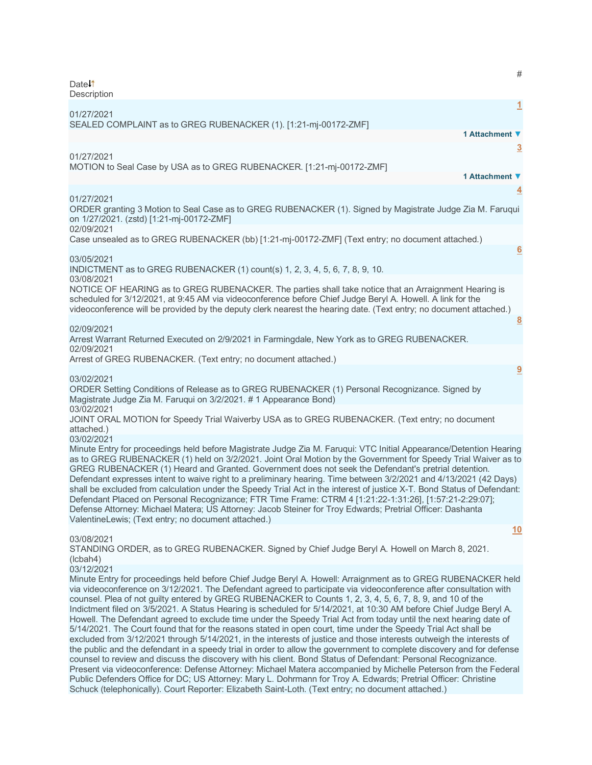| Date <sup>1</sup><br>Description                                                                                                                                                                                                                                                                                                                                                                                                                                                                                                                                                                                                                                                                                                                                                                                                                                                                                                                                                                                                                                                                                                                                                                                                                                                                                                                                                                                         | #                       |
|--------------------------------------------------------------------------------------------------------------------------------------------------------------------------------------------------------------------------------------------------------------------------------------------------------------------------------------------------------------------------------------------------------------------------------------------------------------------------------------------------------------------------------------------------------------------------------------------------------------------------------------------------------------------------------------------------------------------------------------------------------------------------------------------------------------------------------------------------------------------------------------------------------------------------------------------------------------------------------------------------------------------------------------------------------------------------------------------------------------------------------------------------------------------------------------------------------------------------------------------------------------------------------------------------------------------------------------------------------------------------------------------------------------------------|-------------------------|
| 01/27/2021<br>SEALED COMPLAINT as to GREG RUBENACKER (1). [1:21-mj-00172-ZMF]                                                                                                                                                                                                                                                                                                                                                                                                                                                                                                                                                                                                                                                                                                                                                                                                                                                                                                                                                                                                                                                                                                                                                                                                                                                                                                                                            | $\mathbf{\overline{1}}$ |
| 1 Attachment ▼                                                                                                                                                                                                                                                                                                                                                                                                                                                                                                                                                                                                                                                                                                                                                                                                                                                                                                                                                                                                                                                                                                                                                                                                                                                                                                                                                                                                           |                         |
| 01/27/2021<br>MOTION to Seal Case by USA as to GREG RUBENACKER. [1:21-mj-00172-ZMF]<br>1 Attachment ▼                                                                                                                                                                                                                                                                                                                                                                                                                                                                                                                                                                                                                                                                                                                                                                                                                                                                                                                                                                                                                                                                                                                                                                                                                                                                                                                    | $\overline{3}$          |
|                                                                                                                                                                                                                                                                                                                                                                                                                                                                                                                                                                                                                                                                                                                                                                                                                                                                                                                                                                                                                                                                                                                                                                                                                                                                                                                                                                                                                          | $\overline{4}$          |
| 01/27/2021<br>ORDER granting 3 Motion to Seal Case as to GREG RUBENACKER (1). Signed by Magistrate Judge Zia M. Faruqui<br>on 1/27/2021. (zstd) [1:21-mj-00172-ZMF]<br>02/09/2021                                                                                                                                                                                                                                                                                                                                                                                                                                                                                                                                                                                                                                                                                                                                                                                                                                                                                                                                                                                                                                                                                                                                                                                                                                        |                         |
| Case unsealed as to GREG RUBENACKER (bb) [1:21-mj-00172-ZMF] (Text entry; no document attached.)                                                                                                                                                                                                                                                                                                                                                                                                                                                                                                                                                                                                                                                                                                                                                                                                                                                                                                                                                                                                                                                                                                                                                                                                                                                                                                                         |                         |
| 03/05/2021                                                                                                                                                                                                                                                                                                                                                                                                                                                                                                                                                                                                                                                                                                                                                                                                                                                                                                                                                                                                                                                                                                                                                                                                                                                                                                                                                                                                               | 6                       |
| INDICTMENT as to GREG RUBENACKER (1) count(s) 1, 2, 3, 4, 5, 6, 7, 8, 9, 10.                                                                                                                                                                                                                                                                                                                                                                                                                                                                                                                                                                                                                                                                                                                                                                                                                                                                                                                                                                                                                                                                                                                                                                                                                                                                                                                                             |                         |
| 03/08/2021<br>NOTICE OF HEARING as to GREG RUBENACKER. The parties shall take notice that an Arraignment Hearing is<br>scheduled for 3/12/2021, at 9:45 AM via videoconference before Chief Judge Beryl A. Howell. A link for the<br>videoconference will be provided by the deputy clerk nearest the hearing date. (Text entry; no document attached.)                                                                                                                                                                                                                                                                                                                                                                                                                                                                                                                                                                                                                                                                                                                                                                                                                                                                                                                                                                                                                                                                  | $\overline{8}$          |
| 02/09/2021                                                                                                                                                                                                                                                                                                                                                                                                                                                                                                                                                                                                                                                                                                                                                                                                                                                                                                                                                                                                                                                                                                                                                                                                                                                                                                                                                                                                               |                         |
| Arrest Warrant Returned Executed on 2/9/2021 in Farmingdale, New York as to GREG RUBENACKER.<br>02/09/2021                                                                                                                                                                                                                                                                                                                                                                                                                                                                                                                                                                                                                                                                                                                                                                                                                                                                                                                                                                                                                                                                                                                                                                                                                                                                                                               |                         |
| Arrest of GREG RUBENACKER. (Text entry; no document attached.)                                                                                                                                                                                                                                                                                                                                                                                                                                                                                                                                                                                                                                                                                                                                                                                                                                                                                                                                                                                                                                                                                                                                                                                                                                                                                                                                                           |                         |
| 03/02/2021<br>ORDER Setting Conditions of Release as to GREG RUBENACKER (1) Personal Recognizance. Signed by<br>Magistrate Judge Zia M. Faruqui on 3/2/2021. #1 Appearance Bond)                                                                                                                                                                                                                                                                                                                                                                                                                                                                                                                                                                                                                                                                                                                                                                                                                                                                                                                                                                                                                                                                                                                                                                                                                                         | 9                       |
| 03/02/2021<br>JOINT ORAL MOTION for Speedy Trial Waiverby USA as to GREG RUBENACKER. (Text entry; no document<br>attached.)<br>03/02/2021                                                                                                                                                                                                                                                                                                                                                                                                                                                                                                                                                                                                                                                                                                                                                                                                                                                                                                                                                                                                                                                                                                                                                                                                                                                                                |                         |
| Minute Entry for proceedings held before Magistrate Judge Zia M. Faruqui: VTC Initial Appearance/Detention Hearing<br>as to GREG RUBENACKER (1) held on 3/2/2021. Joint Oral Motion by the Government for Speedy Trial Waiver as to<br>GREG RUBENACKER (1) Heard and Granted. Government does not seek the Defendant's pretrial detention.<br>Defendant expresses intent to waive right to a preliminary hearing. Time between 3/2/2021 and 4/13/2021 (42 Days)<br>shall be excluded from calculation under the Speedy Trial Act in the interest of justice X-T. Bond Status of Defendant:<br>Defendant Placed on Personal Recognizance; FTR Time Frame: CTRM 4 [1:21:22-1:31:26], [1:57:21-2:29:07];<br>Defense Attorney: Michael Matera; US Attorney: Jacob Steiner for Troy Edwards; Pretrial Officer: Dashanta<br>ValentineLewis; (Text entry; no document attached.)                                                                                                                                                                                                                                                                                                                                                                                                                                                                                                                                                |                         |
|                                                                                                                                                                                                                                                                                                                                                                                                                                                                                                                                                                                                                                                                                                                                                                                                                                                                                                                                                                                                                                                                                                                                                                                                                                                                                                                                                                                                                          | 10                      |
| 03/08/2021<br>STANDING ORDER, as to GREG RUBENACKER. Signed by Chief Judge Beryl A. Howell on March 8, 2021.<br>(lcbah4)<br>03/12/2021                                                                                                                                                                                                                                                                                                                                                                                                                                                                                                                                                                                                                                                                                                                                                                                                                                                                                                                                                                                                                                                                                                                                                                                                                                                                                   |                         |
| Minute Entry for proceedings held before Chief Judge Beryl A. Howell: Arraignment as to GREG RUBENACKER held<br>via videoconference on 3/12/2021. The Defendant agreed to participate via videoconference after consultation with<br>counsel. Plea of not guilty entered by GREG RUBENACKER to Counts 1, 2, 3, 4, 5, 6, 7, 8, 9, and 10 of the<br>Indictment filed on 3/5/2021. A Status Hearing is scheduled for 5/14/2021, at 10:30 AM before Chief Judge Beryl A.<br>Howell. The Defendant agreed to exclude time under the Speedy Trial Act from today until the next hearing date of<br>5/14/2021. The Court found that for the reasons stated in open court, time under the Speedy Trial Act shall be<br>excluded from 3/12/2021 through 5/14/2021, in the interests of justice and those interests outweigh the interests of<br>the public and the defendant in a speedy trial in order to allow the government to complete discovery and for defense<br>counsel to review and discuss the discovery with his client. Bond Status of Defendant: Personal Recognizance.<br>Present via videoconference: Defense Attorney: Michael Matera accompanied by Michelle Peterson from the Federal<br>Public Defenders Office for DC; US Attorney: Mary L. Dohrmann for Troy A. Edwards; Pretrial Officer: Christine<br>Schuck (telephonically). Court Reporter: Elizabeth Saint-Loth. (Text entry; no document attached.) |                         |
|                                                                                                                                                                                                                                                                                                                                                                                                                                                                                                                                                                                                                                                                                                                                                                                                                                                                                                                                                                                                                                                                                                                                                                                                                                                                                                                                                                                                                          |                         |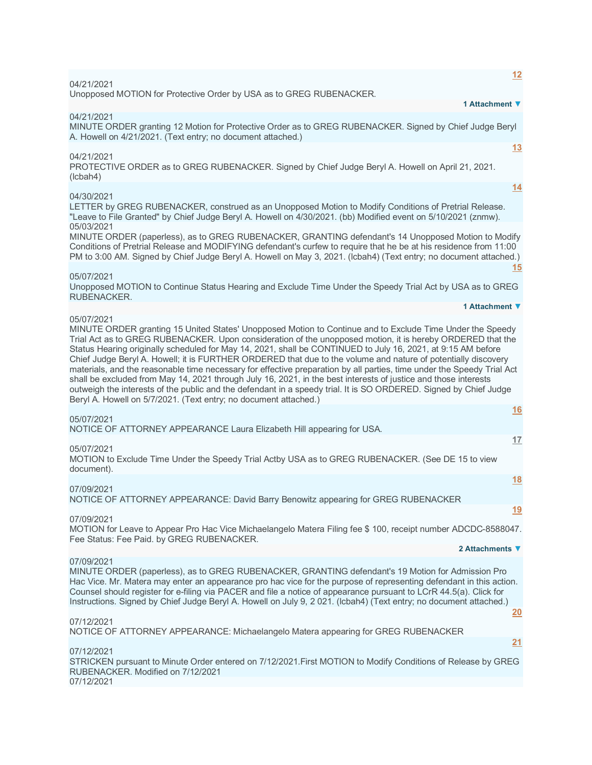| <u>12</u><br>04/21/2021                                                                                                                                                                                                                                                                                                                                                                                                                                                                                                                                                                                                                                                                                                                                                                                                                                                                                      |
|--------------------------------------------------------------------------------------------------------------------------------------------------------------------------------------------------------------------------------------------------------------------------------------------------------------------------------------------------------------------------------------------------------------------------------------------------------------------------------------------------------------------------------------------------------------------------------------------------------------------------------------------------------------------------------------------------------------------------------------------------------------------------------------------------------------------------------------------------------------------------------------------------------------|
| Unopposed MOTION for Protective Order by USA as to GREG RUBENACKER.<br>1 Attachment ▼                                                                                                                                                                                                                                                                                                                                                                                                                                                                                                                                                                                                                                                                                                                                                                                                                        |
| 04/21/2021<br>MINUTE ORDER granting 12 Motion for Protective Order as to GREG RUBENACKER. Signed by Chief Judge Beryl<br>A. Howell on 4/21/2021. (Text entry; no document attached.)                                                                                                                                                                                                                                                                                                                                                                                                                                                                                                                                                                                                                                                                                                                         |
| 13<br>04/21/2021<br>PROTECTIVE ORDER as to GREG RUBENACKER. Signed by Chief Judge Beryl A. Howell on April 21, 2021.<br>(lcbah4)                                                                                                                                                                                                                                                                                                                                                                                                                                                                                                                                                                                                                                                                                                                                                                             |
| 14<br>04/30/2021<br>LETTER by GREG RUBENACKER, construed as an Unopposed Motion to Modify Conditions of Pretrial Release.<br>"Leave to File Granted" by Chief Judge Beryl A. Howell on 4/30/2021. (bb) Modified event on 5/10/2021 (znmw).                                                                                                                                                                                                                                                                                                                                                                                                                                                                                                                                                                                                                                                                   |
| 05/03/2021<br>MINUTE ORDER (paperless), as to GREG RUBENACKER, GRANTING defendant's 14 Unopposed Motion to Modify<br>Conditions of Pretrial Release and MODIFYING defendant's curfew to require that he be at his residence from 11:00<br>PM to 3:00 AM. Signed by Chief Judge Beryl A. Howell on May 3, 2021. (Icbah4) (Text entry; no document attached.)<br>15                                                                                                                                                                                                                                                                                                                                                                                                                                                                                                                                            |
| 05/07/2021<br>Unopposed MOTION to Continue Status Hearing and Exclude Time Under the Speedy Trial Act by USA as to GREG<br>RUBENACKER.                                                                                                                                                                                                                                                                                                                                                                                                                                                                                                                                                                                                                                                                                                                                                                       |
| 1 Attachment ▼                                                                                                                                                                                                                                                                                                                                                                                                                                                                                                                                                                                                                                                                                                                                                                                                                                                                                               |
| 05/07/2021<br>MINUTE ORDER granting 15 United States' Unopposed Motion to Continue and to Exclude Time Under the Speedy<br>Trial Act as to GREG RUBENACKER. Upon consideration of the unopposed motion, it is hereby ORDERED that the<br>Status Hearing originally scheduled for May 14, 2021, shall be CONTINUED to July 16, 2021, at 9:15 AM before<br>Chief Judge Beryl A. Howell; it is FURTHER ORDERED that due to the volume and nature of potentially discovery<br>materials, and the reasonable time necessary for effective preparation by all parties, time under the Speedy Trial Act<br>shall be excluded from May 14, 2021 through July 16, 2021, in the best interests of justice and those interests<br>outweigh the interests of the public and the defendant in a speedy trial. It is SO ORDERED. Signed by Chief Judge<br>Beryl A. Howell on 5/7/2021. (Text entry; no document attached.) |
| <u>16</u><br>05/07/2021                                                                                                                                                                                                                                                                                                                                                                                                                                                                                                                                                                                                                                                                                                                                                                                                                                                                                      |
| NOTICE OF ATTORNEY APPEARANCE Laura Elizabeth Hill appearing for USA.<br>17                                                                                                                                                                                                                                                                                                                                                                                                                                                                                                                                                                                                                                                                                                                                                                                                                                  |
| 05/07/2021<br>MOTION to Exclude Time Under the Speedy Trial Actby USA as to GREG RUBENACKER. (See DE 15 to view<br>document).                                                                                                                                                                                                                                                                                                                                                                                                                                                                                                                                                                                                                                                                                                                                                                                |
| <u>18</u><br>07/09/2021<br>NOTICE OF ATTORNEY APPEARANCE: David Barry Benowitz appearing for GREG RUBENACKER                                                                                                                                                                                                                                                                                                                                                                                                                                                                                                                                                                                                                                                                                                                                                                                                 |
| <u>19</u><br>07/09/2021<br>MOTION for Leave to Appear Pro Hac Vice Michaelangelo Matera Filing fee \$ 100, receipt number ADCDC-8588047.<br>Fee Status: Fee Paid. by GREG RUBENACKER.                                                                                                                                                                                                                                                                                                                                                                                                                                                                                                                                                                                                                                                                                                                        |
| 2 Attachments ▼                                                                                                                                                                                                                                                                                                                                                                                                                                                                                                                                                                                                                                                                                                                                                                                                                                                                                              |
| 07/09/2021<br>MINUTE ORDER (paperless), as to GREG RUBENACKER, GRANTING defendant's 19 Motion for Admission Pro<br>Hac Vice. Mr. Matera may enter an appearance pro hac vice for the purpose of representing defendant in this action.<br>Counsel should register for e-filing via PACER and file a notice of appearance pursuant to LCrR 44.5(a). Click for<br>Instructions. Signed by Chief Judge Beryl A. Howell on July 9, 2021. (Icbah4) (Text entry; no document attached.)<br>20                                                                                                                                                                                                                                                                                                                                                                                                                      |
| 07/12/2021<br>NOTICE OF ATTORNEY APPEARANCE: Michaelangelo Matera appearing for GREG RUBENACKER                                                                                                                                                                                                                                                                                                                                                                                                                                                                                                                                                                                                                                                                                                                                                                                                              |
| <u>21</u>                                                                                                                                                                                                                                                                                                                                                                                                                                                                                                                                                                                                                                                                                                                                                                                                                                                                                                    |
| 07/12/2021<br>STRICKEN pursuant to Minute Order entered on 7/12/2021. First MOTION to Modify Conditions of Release by GREG<br>RUBENACKER. Modified on 7/12/2021<br>07/12/2021                                                                                                                                                                                                                                                                                                                                                                                                                                                                                                                                                                                                                                                                                                                                |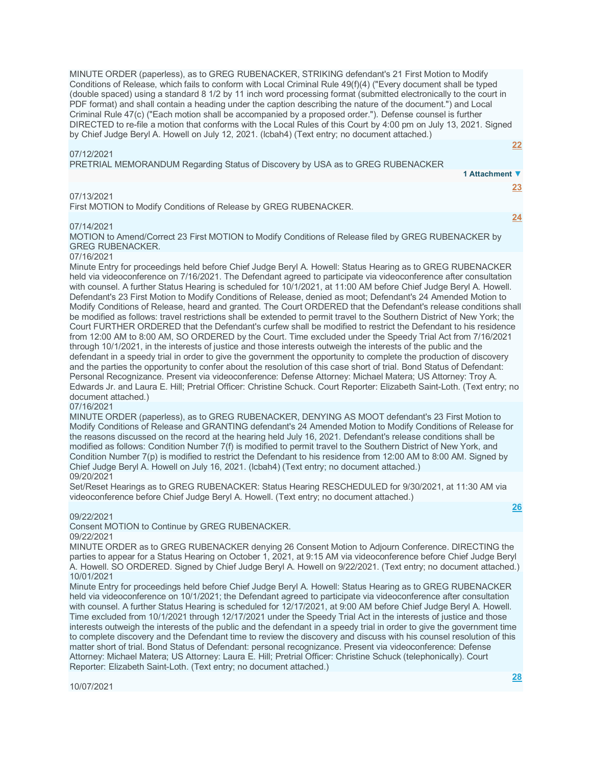MINUTE ORDER (paperless), as to GREG RUBENACKER, STRIKING defendant's 21 First Motion to Modify Conditions of Release, which fails to conform with Local Criminal Rule 49(f)(4) ("Every document shall be typed (double spaced) using a standard 8 1/2 by 11 inch word processing format (submitted electronically to the court in PDF format) and shall contain a heading under the caption describing the nature of the document.") and Local Criminal Rule 47(c) ("Each motion shall be accompanied by a proposed order."). Defense counsel is further DIRECTED to re-file a motion that conforms with the Local Rules of this Court by 4:00 pm on July 13, 2021. Signed by Chief Judge Beryl A. Howell on July 12, 2021. (lcbah4) (Text entry; no document attached.)

# 07/12/2021

**[22](javascript:void(0))**

| PRETRIAL MEMORANDUM Regarding Status of Discovery by USA as to GREG RUBENACKER |                |
|--------------------------------------------------------------------------------|----------------|
|                                                                                | 1 Attachment ▼ |
|                                                                                | 23.            |
| 07/13/2021                                                                     |                |
| First MOTION to Modify Conditions of Release by GREG RUBENACKER.               |                |
|                                                                                |                |

## 07/14/2021

MOTION to Amend/Correct 23 First MOTION to Modify Conditions of Release filed by GREG RUBENACKER by GREG RUBENACKER.

## 07/16/2021

Minute Entry for proceedings held before Chief Judge Beryl A. Howell: Status Hearing as to GREG RUBENACKER held via videoconference on 7/16/2021. The Defendant agreed to participate via videoconference after consultation with counsel. A further Status Hearing is scheduled for 10/1/2021, at 11:00 AM before Chief Judge Beryl A. Howell. Defendant's 23 First Motion to Modify Conditions of Release, denied as moot; Defendant's 24 Amended Motion to Modify Conditions of Release, heard and granted. The Court ORDERED that the Defendant's release conditions shall be modified as follows: travel restrictions shall be extended to permit travel to the Southern District of New York; the Court FURTHER ORDERED that the Defendant's curfew shall be modified to restrict the Defendant to his residence from 12:00 AM to 8:00 AM, SO ORDERED by the Court. Time excluded under the Speedy Trial Act from 7/16/2021 through 10/1/2021, in the interests of justice and those interests outweigh the interests of the public and the defendant in a speedy trial in order to give the government the opportunity to complete the production of discovery and the parties the opportunity to confer about the resolution of this case short of trial. Bond Status of Defendant: Personal Recognizance. Present via videoconference: Defense Attorney: Michael Matera; US Attorney: Troy A. Edwards Jr. and Laura E. Hill; Pretrial Officer: Christine Schuck. Court Reporter: Elizabeth Saint-Loth. (Text entry; no document attached.)

## 07/16/2021

MINUTE ORDER (paperless), as to GREG RUBENACKER, DENYING AS MOOT defendant's 23 First Motion to Modify Conditions of Release and GRANTING defendant's 24 Amended Motion to Modify Conditions of Release for the reasons discussed on the record at the hearing held July 16, 2021. Defendant's release conditions shall be modified as follows: Condition Number 7(f) is modified to permit travel to the Southern District of New York, and Condition Number 7(p) is modified to restrict the Defendant to his residence from 12:00 AM to 8:00 AM. Signed by Chief Judge Beryl A. Howell on July 16, 2021. (lcbah4) (Text entry; no document attached.) 09/20/2021

Set/Reset Hearings as to GREG RUBENACKER: Status Hearing RESCHEDULED for 9/30/2021, at 11:30 AM via videoconference before Chief Judge Beryl A. Howell. (Text entry; no document attached.)

### 09/22/2021

Consent MOTION to Continue by GREG RUBENACKER. 09/22/2021

MINUTE ORDER as to GREG RUBENACKER denying 26 Consent Motion to Adjourn Conference. DIRECTING the parties to appear for a Status Hearing on October 1, 2021, at 9:15 AM via videoconference before Chief Judge Beryl A. Howell. SO ORDERED. Signed by Chief Judge Beryl A. Howell on 9/22/2021. (Text entry; no document attached.) 10/01/2021

Minute Entry for proceedings held before Chief Judge Beryl A. Howell: Status Hearing as to GREG RUBENACKER held via videoconference on 10/1/2021; the Defendant agreed to participate via videoconference after consultation with counsel. A further Status Hearing is scheduled for 12/17/2021, at 9:00 AM before Chief Judge Beryl A. Howell. Time excluded from 10/1/2021 through 12/17/2021 under the Speedy Trial Act in the interests of justice and those interests outweigh the interests of the public and the defendant in a speedy trial in order to give the government time to complete discovery and the Defendant time to review the discovery and discuss with his counsel resolution of this matter short of trial. Bond Status of Defendant: personal recognizance. Present via videoconference: Defense Attorney: Michael Matera; US Attorney: Laura E. Hill; Pretrial Officer: Christine Schuck (telephonically). Court Reporter: Elizabeth Saint-Loth. (Text entry; no document attached.)

**[26](javascript:void(0))**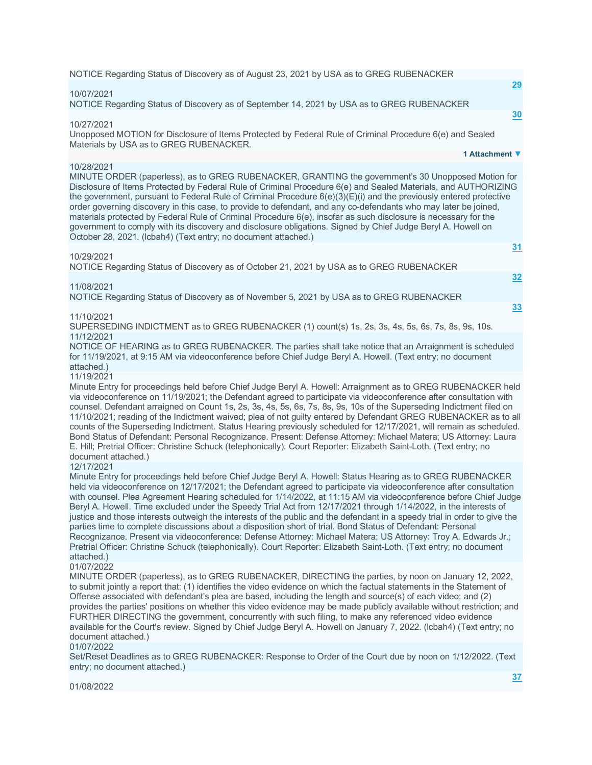NOTICE Regarding Status of Discovery as of August 23, 2021 by USA as to GREG RUBENACKER

### 10/07/2021

NOTICE Regarding Status of Discovery as of September 14, 2021 by USA as to GREG RUBENACKER

### 10/27/2021

Unopposed MOTION for Disclosure of Items Protected by Federal Rule of Criminal Procedure 6(e) and Sealed Materials by USA as to GREG RUBENACKER. **1 Attachment ▼**

### 10/28/2021

MINUTE ORDER (paperless), as to GREG RUBENACKER, GRANTING the government's 30 Unopposed Motion for Disclosure of Items Protected by Federal Rule of Criminal Procedure 6(e) and Sealed Materials, and AUTHORIZING the government, pursuant to Federal Rule of Criminal Procedure 6(e)(3)(E)(i) and the previously entered protective order governing discovery in this case, to provide to defendant, and any co-defendants who may later be joined, materials protected by Federal Rule of Criminal Procedure 6(e), insofar as such disclosure is necessary for the government to comply with its discovery and disclosure obligations. Signed by Chief Judge Beryl A. Howell on October 28, 2021. (lcbah4) (Text entry; no document attached.)

### 10/29/2021

NOTICE Regarding Status of Discovery as of October 21, 2021 by USA as to GREG RUBENACKER

### 11/08/2021

NOTICE Regarding Status of Discovery as of November 5, 2021 by USA as to GREG RUBENACKER

## 11/10/2021

SUPERSEDING INDICTMENT as to GREG RUBENACKER (1) count(s) 1s, 2s, 3s, 4s, 5s, 6s, 7s, 8s, 9s, 10s. 11/12/2021

NOTICE OF HEARING as to GREG RUBENACKER. The parties shall take notice that an Arraignment is scheduled for 11/19/2021, at 9:15 AM via videoconference before Chief Judge Beryl A. Howell. (Text entry; no document attached.)

# 11/19/2021

Minute Entry for proceedings held before Chief Judge Beryl A. Howell: Arraignment as to GREG RUBENACKER held via videoconference on 11/19/2021; the Defendant agreed to participate via videoconference after consultation with counsel. Defendant arraigned on Count 1s, 2s, 3s, 4s, 5s, 6s, 7s, 8s, 9s, 10s of the Superseding Indictment filed on 11/10/2021; reading of the Indictment waived; plea of not guilty entered by Defendant GREG RUBENACKER as to all counts of the Superseding Indictment. Status Hearing previously scheduled for 12/17/2021, will remain as scheduled. Bond Status of Defendant: Personal Recognizance. Present: Defense Attorney: Michael Matera; US Attorney: Laura E. Hill; Pretrial Officer: Christine Schuck (telephonically). Court Reporter: Elizabeth Saint-Loth. (Text entry; no document attached.)

#### 12/17/2021

Minute Entry for proceedings held before Chief Judge Beryl A. Howell: Status Hearing as to GREG RUBENACKER held via videoconference on 12/17/2021; the Defendant agreed to participate via videoconference after consultation with counsel. Plea Agreement Hearing scheduled for 1/14/2022, at 11:15 AM via videoconference before Chief Judge Beryl A. Howell. Time excluded under the Speedy Trial Act from 12/17/2021 through 1/14/2022, in the interests of justice and those interests outweigh the interests of the public and the defendant in a speedy trial in order to give the parties time to complete discussions about a disposition short of trial. Bond Status of Defendant: Personal Recognizance. Present via videoconference: Defense Attorney: Michael Matera; US Attorney: Troy A. Edwards Jr.; Pretrial Officer: Christine Schuck (telephonically). Court Reporter: Elizabeth Saint-Loth. (Text entry; no document attached.)

### 01/07/2022

MINUTE ORDER (paperless), as to GREG RUBENACKER, DIRECTING the parties, by noon on January 12, 2022, to submit jointly a report that: (1) identifies the video evidence on which the factual statements in the Statement of Offense associated with defendant's plea are based, including the length and source(s) of each video; and (2) provides the parties' positions on whether this video evidence may be made publicly available without restriction; and FURTHER DIRECTING the government, concurrently with such filing, to make any referenced video evidence available for the Court's review. Signed by Chief Judge Beryl A. Howell on January 7, 2022. (lcbah4) (Text entry; no document attached.)

#### 01/07/2022

Set/Reset Deadlines as to GREG RUBENACKER: Response to Order of the Court due by noon on 1/12/2022. (Text entry; no document attached.)

01/08/2022

**[29](javascript:void(0))**

**[30](javascript:void(0))**

**[31](javascript:void(0))**

**[32](javascript:void(0))**

**[33](javascript:void(0))**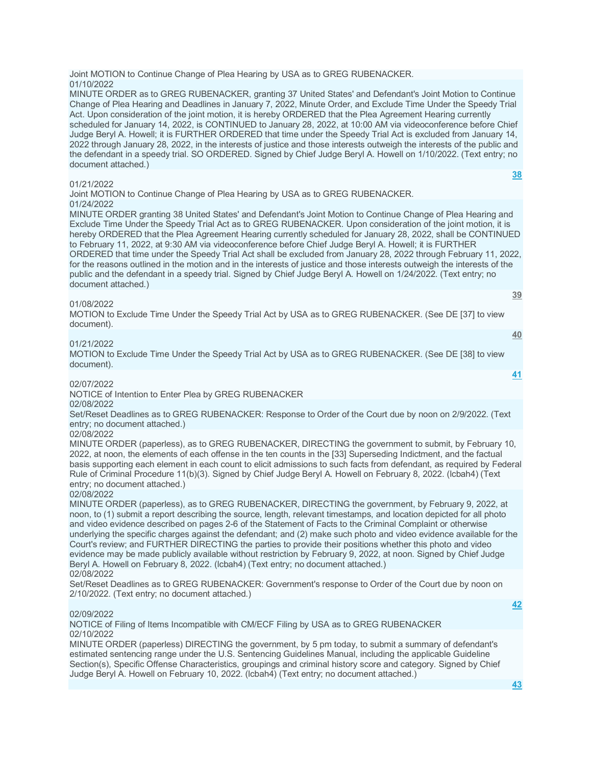Joint MOTION to Continue Change of Plea Hearing by USA as to GREG RUBENACKER. 01/10/2022

MINUTE ORDER as to GREG RUBENACKER, granting 37 United States' and Defendant's Joint Motion to Continue Change of Plea Hearing and Deadlines in January 7, 2022, Minute Order, and Exclude Time Under the Speedy Trial Act. Upon consideration of the joint motion, it is hereby ORDERED that the Plea Agreement Hearing currently scheduled for January 14, 2022, is CONTINUED to January 28, 2022, at 10:00 AM via videoconference before Chief Judge Beryl A. Howell; it is FURTHER ORDERED that time under the Speedy Trial Act is excluded from January 14, 2022 through January 28, 2022, in the interests of justice and those interests outweigh the interests of the public and the defendant in a speedy trial. SO ORDERED. Signed by Chief Judge Beryl A. Howell on 1/10/2022. (Text entry; no document attached.)

### 01/21/2022

Joint MOTION to Continue Change of Plea Hearing by USA as to GREG RUBENACKER. 01/24/2022

MINUTE ORDER granting 38 United States' and Defendant's Joint Motion to Continue Change of Plea Hearing and Exclude Time Under the Speedy Trial Act as to GREG RUBENACKER. Upon consideration of the joint motion, it is hereby ORDERED that the Plea Agreement Hearing currently scheduled for January 28, 2022, shall be CONTINUED to February 11, 2022, at 9:30 AM via videoconference before Chief Judge Beryl A. Howell; it is FURTHER ORDERED that time under the Speedy Trial Act shall be excluded from January 28, 2022 through February 11, 2022, for the reasons outlined in the motion and in the interests of justice and those interests outweigh the interests of the public and the defendant in a speedy trial. Signed by Chief Judge Beryl A. Howell on 1/24/2022. (Text entry; no document attached.)

## 01/08/2022

MOTION to Exclude Time Under the Speedy Trial Act by USA as to GREG RUBENACKER. (See DE [37] to view document).

## 01/21/2022

MOTION to Exclude Time Under the Speedy Trial Act by USA as to GREG RUBENACKER. (See DE [38] to view document).

## 02/07/2022

NOTICE of Intention to Enter Plea by GREG RUBENACKER 02/08/2022

Set/Reset Deadlines as to GREG RUBENACKER: Response to Order of the Court due by noon on 2/9/2022. (Text entry; no document attached.)

## 02/08/2022

MINUTE ORDER (paperless), as to GREG RUBENACKER, DIRECTING the government to submit, by February 10, 2022, at noon, the elements of each offense in the ten counts in the [33] Superseding Indictment, and the factual basis supporting each element in each count to elicit admissions to such facts from defendant, as required by Federal Rule of Criminal Procedure 11(b)(3). Signed by Chief Judge Beryl A. Howell on February 8, 2022. (lcbah4) (Text entry; no document attached.)

### 02/08/2022

MINUTE ORDER (paperless), as to GREG RUBENACKER, DIRECTING the government, by February 9, 2022, at noon, to (1) submit a report describing the source, length, relevant timestamps, and location depicted for all photo and video evidence described on pages 2-6 of the Statement of Facts to the Criminal Complaint or otherwise underlying the specific charges against the defendant; and (2) make such photo and video evidence available for the Court's review; and FURTHER DIRECTING the parties to provide their positions whether this photo and video evidence may be made publicly available without restriction by February 9, 2022, at noon. Signed by Chief Judge Beryl A. Howell on February 8, 2022. (lcbah4) (Text entry; no document attached.) 02/08/2022

Set/Reset Deadlines as to GREG RUBENACKER: Government's response to Order of the Court due by noon on 2/10/2022. (Text entry; no document attached.)

### 02/09/2022

NOTICE of Filing of Items Incompatible with CM/ECF Filing by USA as to GREG RUBENACKER 02/10/2022

MINUTE ORDER (paperless) DIRECTING the government, by 5 pm today, to submit a summary of defendant's estimated sentencing range under the U.S. Sentencing Guidelines Manual, including the applicable Guideline Section(s), Specific Offense Characteristics, groupings and criminal history score and category. Signed by Chief Judge Beryl A. Howell on February 10, 2022. (lcbah4) (Text entry; no document attached.)

**[42](javascript:void(0))**

**[38](javascript:void(0))**

**[39](javascript:void(0))**

**[40](javascript:void(0))**

**[41](javascript:void(0))**